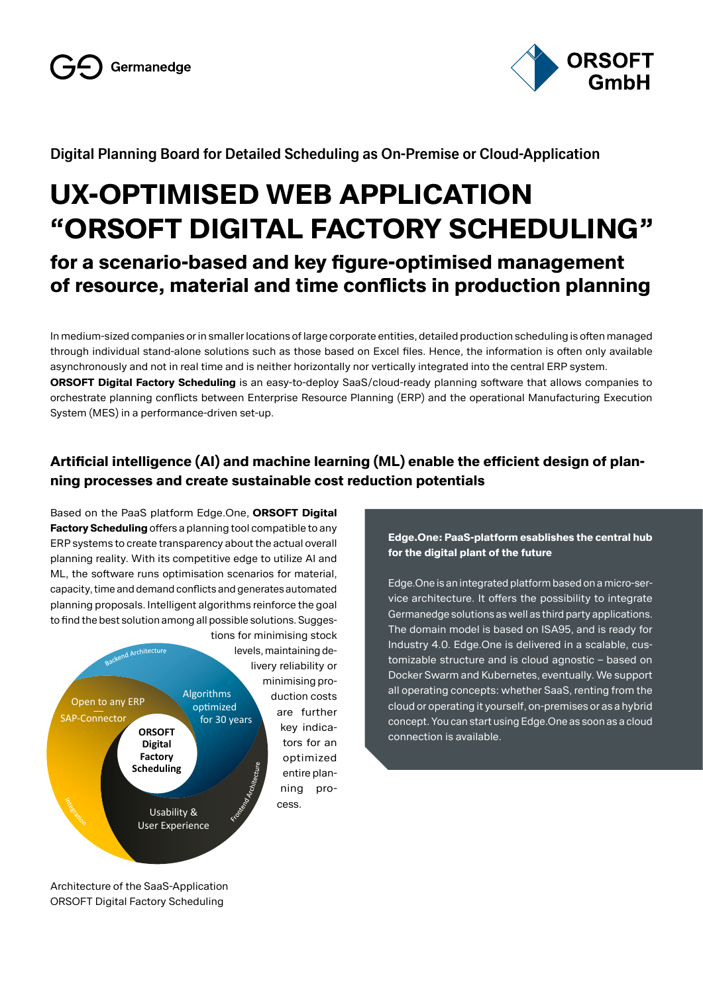

#### **Digital Planning Board for Detailed Scheduling as On-Premise or Cloud-Application**

# **UX-OPTIMISED WEB APPLICATION "ORSOFT DIGITAL FACTORY SCHEDULING"**

## **for a scenario-based and key figure-optimised management of resource, material and time conflicts in production planning**

In medium-sized companies or in smaller locations of large corporate entities, detailed production scheduling is often managed through individual stand-alone solutions such as those based on Excel files. Hence, the information is often only available asynchronously and not in real time and is neither horizontally nor vertically integrated into the central ERP system. **ORSOFT Digital Factory Scheduling** is an easy-to-deploy SaaS/cloud-ready planning software that allows companies to orchestrate planning conflicts between Enterprise Resource Planning (ERP) and the operational Manufacturing Execution System (MES) in a performance-driven set-up.

### **Artificial intelligence (AI) and machine learning (ML) enable the efficient design of planning processes and create sustainable cost reduction potentials**

Based on the PaaS platform Edge.One, **ORSOFT Digital Factory Scheduling** offers a planning tool compatible to any ERP systems to create transparency about the actual overall planning reality. With its competitive edge to utilize AI and ML, the software runs optimisation scenarios for material, capacity, time and demand conflicts and generates automated planning proposals. Intelligent algorithms reinforce the goal to find the best solution among all possible solutions. Sugges-



**Edge.One: PaaS-platform esablishes the central hub for the digital plant of the future**

Edge.One is an integrated platform based on a micro-service architecture. It offers the possibility to integrate Germanedge solutions as well as third party applications. The domain model is based on ISA95, and is ready for Industry 4.0. Edge.One is delivered in a scalable, customizable structure and is cloud agnostic – based on Docker Swarm and Kubernetes, eventually. We support all operating concepts: whether SaaS, renting from the cloud or operating it yourself, on-premises or as a hybrid concept. You can start using Edge.One as soon as a cloud connection is available.

d

Architecture of the SaaS-Application ORSOFT Digital Factory Scheduling